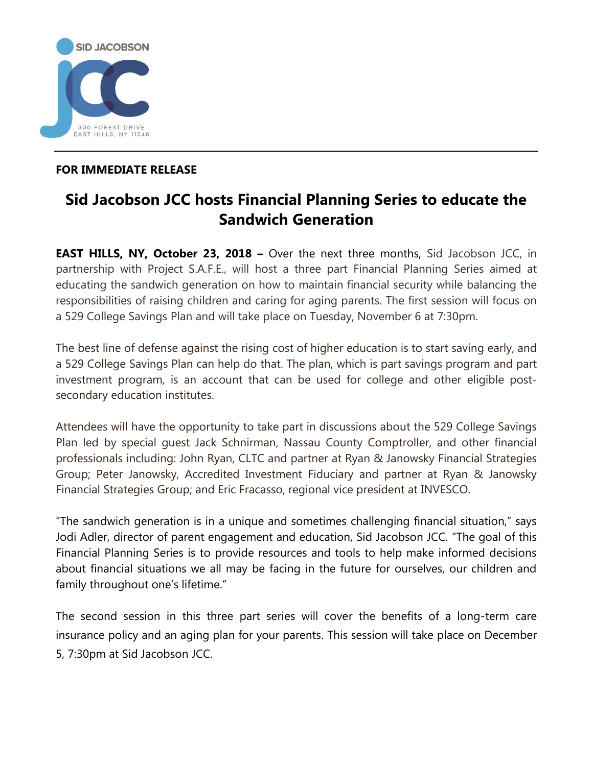

## **FOR IMMEDIATE RELEASE**

## **Sid Jacobson JCC hosts Financial Planning Series to educate the Sandwich Generation**

**EAST HILLS, NY, October 23, 2018 –** Over the next three months, Sid Jacobson JCC, in partnership with Project S.A.F.E., will host a three part Financial Planning Series aimed at educating the sandwich generation on how to maintain financial security while balancing the responsibilities of raising children and caring for aging parents. The first session will focus on a 529 College Savings Plan and will take place on Tuesday, November 6 at 7:30pm.

The best line of defense against the rising cost of higher education is to start saving early, and a 529 College Savings Plan can help do that. The plan, which is part savings program and part investment program, is an account that can be used for college and other eligible postsecondary education institutes.

Attendees will have the opportunity to take part in discussions about the 529 College Savings Plan led by special guest Jack Schnirman, Nassau County Comptroller, and other financial professionals including: John Ryan, CLTC and partner at Ryan & Janowsky Financial Strategies Group; Peter Janowsky, Accredited Investment Fiduciary and partner at Ryan & Janowsky Financial Strategies Group; and Eric Fracasso, regional vice president at INVESCO.

"The sandwich generation is in a unique and sometimes challenging financial situation," says Jodi Adler, director of parent engagement and education, Sid Jacobson JCC. "The goal of this Financial Planning Series is to provide resources and tools to help make informed decisions about financial situations we all may be facing in the future for ourselves, our children and family throughout one's lifetime."

The second session in this three part series will cover the benefits of a long-term care insurance policy and an aging plan for your parents. This session will take place on December 5, 7:30pm at Sid Jacobson JCC.